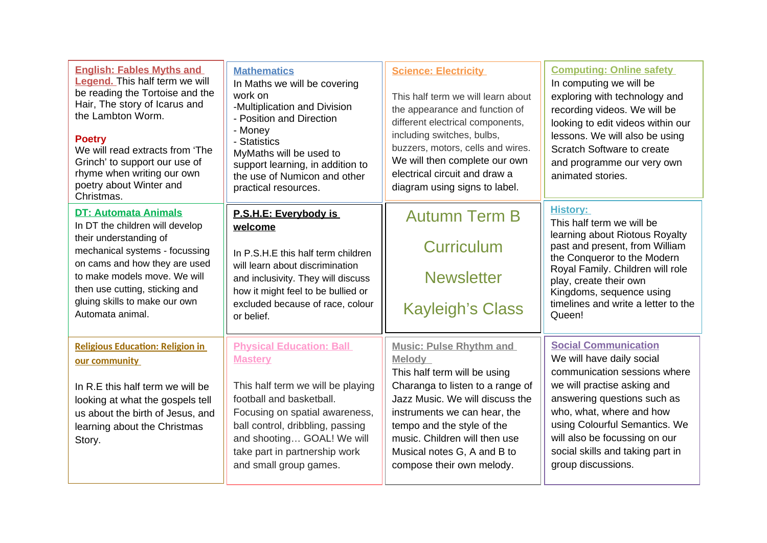| <b>English: Fables Myths and</b><br><b>Legend.</b> This half term we will<br>be reading the Tortoise and the<br>Hair, The story of Icarus and<br>the Lambton Worm.<br><b>Poetry</b><br>We will read extracts from 'The<br>Grinch' to support our use of<br>rhyme when writing our own<br>poetry about Winter and<br>Christmas. | <b>Mathematics</b><br>In Maths we will be covering<br>work on<br>-Multiplication and Division<br>- Position and Direction<br>- Money<br>- Statistics<br>MyMaths will be used to<br>support learning, in addition to<br>the use of Numicon and other<br>practical resources. | <b>Science: Electricity</b><br>This half term we will learn about<br>the appearance and function of<br>different electrical components,<br>including switches, bulbs,<br>buzzers, motors, cells and wires.<br>We will then complete our own<br>electrical circuit and draw a<br>diagram using signs to label. | <b>Computing: Online safety</b><br>In computing we will be<br>exploring with technology and<br>recording videos. We will be<br>looking to edit videos within our<br>lessons. We will also be using<br>Scratch Software to create<br>and programme our very own<br>animated stories. |
|--------------------------------------------------------------------------------------------------------------------------------------------------------------------------------------------------------------------------------------------------------------------------------------------------------------------------------|-----------------------------------------------------------------------------------------------------------------------------------------------------------------------------------------------------------------------------------------------------------------------------|---------------------------------------------------------------------------------------------------------------------------------------------------------------------------------------------------------------------------------------------------------------------------------------------------------------|-------------------------------------------------------------------------------------------------------------------------------------------------------------------------------------------------------------------------------------------------------------------------------------|
| <b>DT: Automata Animals</b>                                                                                                                                                                                                                                                                                                    | P.S.H.E: Everybody is                                                                                                                                                                                                                                                       | <b>Autumn Term B</b>                                                                                                                                                                                                                                                                                          | <b>History:</b>                                                                                                                                                                                                                                                                     |
| In DT the children will develop                                                                                                                                                                                                                                                                                                | welcome                                                                                                                                                                                                                                                                     |                                                                                                                                                                                                                                                                                                               | This half term we will be                                                                                                                                                                                                                                                           |
| their understanding of<br>mechanical systems - focussing                                                                                                                                                                                                                                                                       | In P.S.H.E this half term children                                                                                                                                                                                                                                          | <b>Curriculum</b>                                                                                                                                                                                                                                                                                             | learning about Riotous Royalty<br>past and present, from William<br>the Conqueror to the Modern                                                                                                                                                                                     |
| on cams and how they are used                                                                                                                                                                                                                                                                                                  | will learn about discrimination                                                                                                                                                                                                                                             | <b>Newsletter</b>                                                                                                                                                                                                                                                                                             | Royal Family. Children will role                                                                                                                                                                                                                                                    |
| to make models move. We will                                                                                                                                                                                                                                                                                                   | and inclusivity. They will discuss                                                                                                                                                                                                                                          |                                                                                                                                                                                                                                                                                                               | play, create their own                                                                                                                                                                                                                                                              |
| then use cutting, sticking and                                                                                                                                                                                                                                                                                                 | how it might feel to be bullied or                                                                                                                                                                                                                                          |                                                                                                                                                                                                                                                                                                               | Kingdoms, sequence using                                                                                                                                                                                                                                                            |
| gluing skills to make our own                                                                                                                                                                                                                                                                                                  | excluded because of race, colour                                                                                                                                                                                                                                            | <b>Kayleigh's Class</b>                                                                                                                                                                                                                                                                                       | timelines and write a letter to the                                                                                                                                                                                                                                                 |
| Automata animal.                                                                                                                                                                                                                                                                                                               | or belief.                                                                                                                                                                                                                                                                  |                                                                                                                                                                                                                                                                                                               | Queen!                                                                                                                                                                                                                                                                              |
| <b>Religious Education: Religion in</b>                                                                                                                                                                                                                                                                                        | <b>Physical Education: Ball</b>                                                                                                                                                                                                                                             | <b>Music: Pulse Rhythm and</b>                                                                                                                                                                                                                                                                                | <b>Social Communication</b>                                                                                                                                                                                                                                                         |
| our community                                                                                                                                                                                                                                                                                                                  | <b>Mastery</b>                                                                                                                                                                                                                                                              | Melody                                                                                                                                                                                                                                                                                                        | We will have daily social                                                                                                                                                                                                                                                           |
| In R.E this half term we will be<br>looking at what the gospels tell<br>us about the birth of Jesus, and<br>learning about the Christmas<br>Story.                                                                                                                                                                             | This half term we will be playing<br>football and basketball.<br>Focusing on spatial awareness,<br>ball control, dribbling, passing<br>and shooting GOAL! We will<br>take part in partnership work<br>and small group games.                                                | This half term will be using<br>Charanga to listen to a range of<br>Jazz Music. We will discuss the<br>instruments we can hear, the<br>tempo and the style of the<br>music. Children will then use<br>Musical notes G, A and B to<br>compose their own melody.                                                | communication sessions where<br>we will practise asking and<br>answering questions such as<br>who, what, where and how<br>using Colourful Semantics. We<br>will also be focussing on our<br>social skills and taking part in<br>group discussions.                                  |